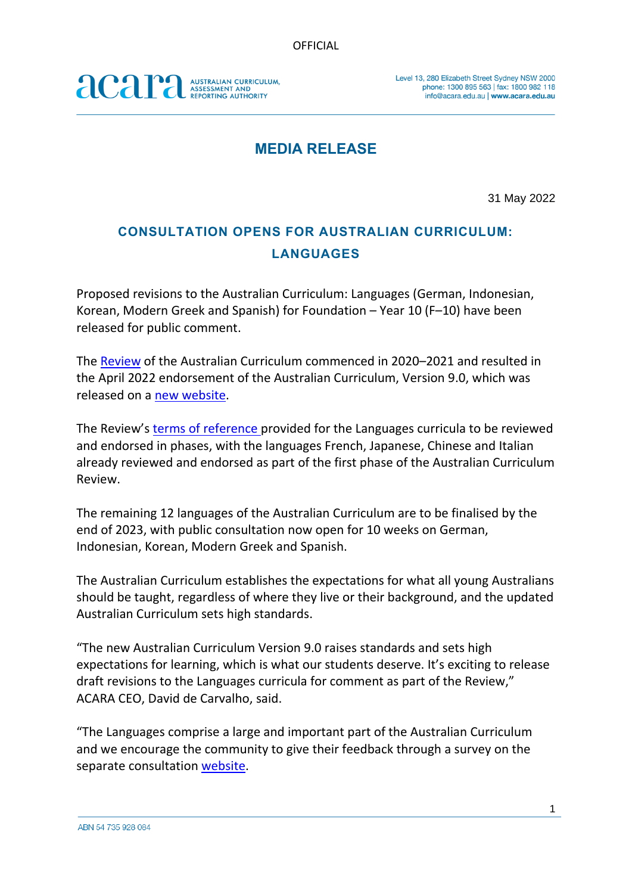## acara AUSTRALIAN CURRICULUM,<br>ASSESSMENT AND<br>REPORTING AUTHORITY

## **MEDIA RELEASE**

31 May 2022

## **CONSULTATION OPENS FOR AUSTRALIAN CURRICULUM: LANGUAGES**

Proposed revisions to the Australian Curriculum: Languages (German, Indonesian, Korean, Modern Greek and Spanish) for Foundation – Year 10 (F–10) have been released for public comment.

The [Review](https://www.acara.edu.au/curriculum/curriculum-review) of the Australian Curriculum commenced in 2020–2021 and resulted in the April 2022 endorsement of the Australian Curriculum, Version 9.0, which was released on a [new website.](https://v9.australiancurriculum.edu.au/)

The Review's [terms of reference](https://www.acara.edu.au/docs/default-source/curriculum/ac-review_terms-of-reference_website.pdf?sfvrsn=2) provided for the Languages curricula to be reviewed and endorsed in phases, with the languages French, Japanese, Chinese and Italian already reviewed and endorsed as part of the first phase of the Australian Curriculum Review.

The remaining 12 languages of the Australian Curriculum are to be finalised by the end of 2023, with public consultation now open for 10 weeks on German, Indonesian, Korean, Modern Greek and Spanish.

The Australian Curriculum establishes the expectations for what all young Australians should be taught, regardless of where they live or their background, and the updated Australian Curriculum sets high standards.

"The new Australian Curriculum Version 9.0 raises standards and sets high expectations for learning, which is what our students deserve. It's exciting to release draft revisions to the Languages curricula for comment as part of the Review," ACARA CEO, David de Carvalho, said.

"The Languages comprise a large and important part of the Australian Curriculum and we encourage the community to give their feedback through a survey on the separate consultation [website.](http://www.australiancurriculum.edu.au/consultation/languages)